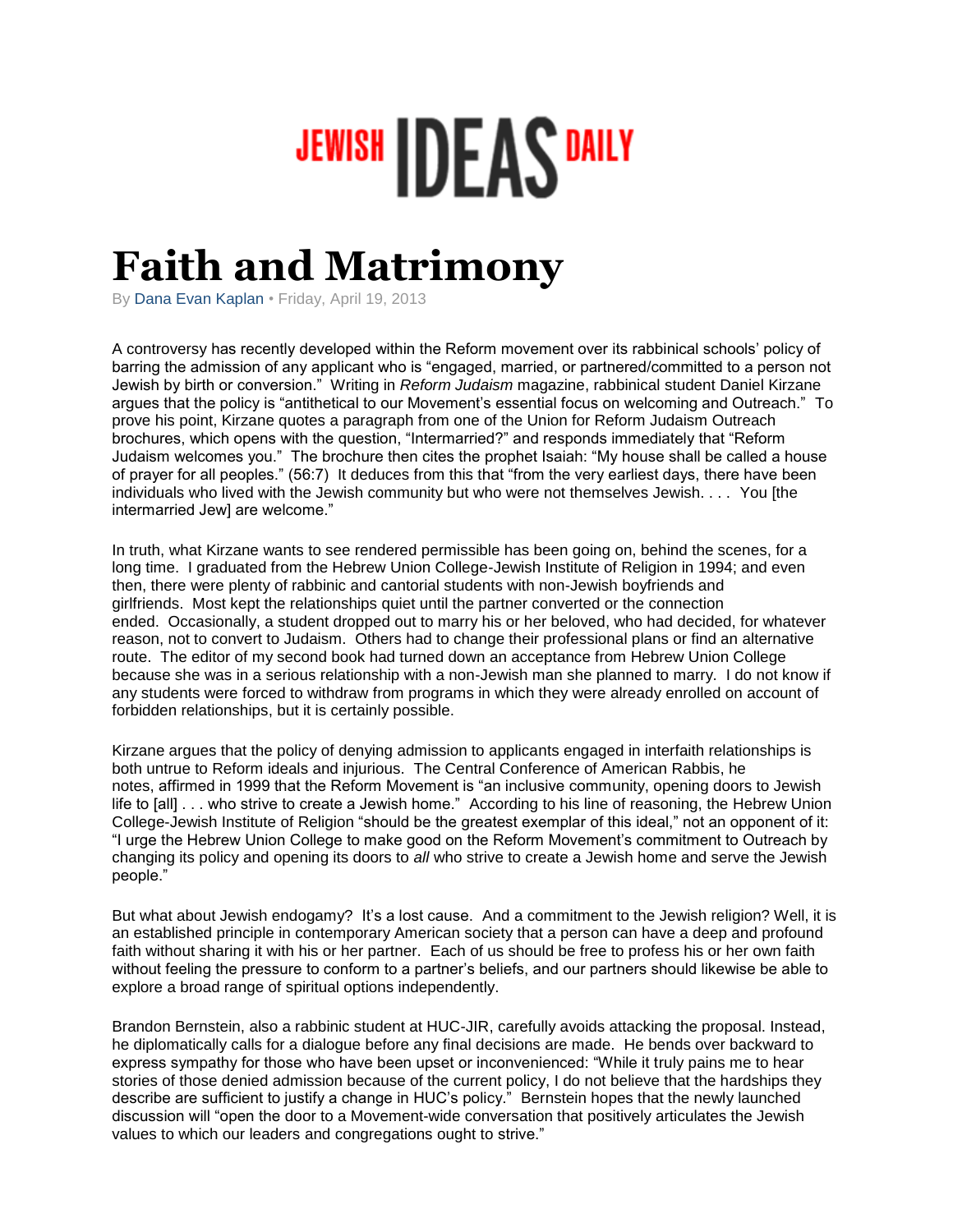## JEWISH **DEAS** DAILY

## **Faith and Matrimony**

By Dana Evan Kaplan • Friday, April 19, 2013

A controversy has recently developed within the Reform movement over its rabbinical schools' policy of barring the admission of any applicant who is "engaged, married, or partnered/committed to a person not Jewish by birth or conversion." Writing in *Reform Judaism* magazine, rabbinical student Daniel Kirzane argues that the policy is "antithetical to our Movement's essential focus on welcoming and Outreach." To prove his point, Kirzane quotes a paragraph from one of the Union for Reform Judaism Outreach brochures, which opens with the question, "Intermarried?" and responds immediately that "Reform Judaism welcomes you." The brochure then cites the prophet Isaiah: "My house shall be called a house of prayer for all peoples." (56:7) It deduces from this that "from the very earliest days, there have been individuals who lived with the Jewish community but who were not themselves Jewish. . . . You [the intermarried Jew] are welcome."

In truth, what Kirzane wants to see rendered permissible has been going on, behind the scenes, for a long time. I graduated from the Hebrew Union College-Jewish Institute of Religion in 1994; and even then, there were plenty of rabbinic and cantorial students with non-Jewish boyfriends and girlfriends. Most kept the relationships quiet until the partner converted or the connection ended. Occasionally, a student dropped out to marry his or her beloved, who had decided, for whatever reason, not to convert to Judaism. Others had to change their professional plans or find an alternative route. The editor of my second book had turned down an acceptance from Hebrew Union College because she was in a serious relationship with a non-Jewish man she planned to marry. I do not know if any students were forced to withdraw from programs in which they were already enrolled on account of forbidden relationships, but it is certainly possible.

Kirzane argues that the policy of denying admission to applicants engaged in interfaith relationships is both untrue to Reform ideals and injurious. The Central Conference of American Rabbis, he notes, affirmed in 1999 that the Reform Movement is "an inclusive community, opening doors to Jewish life to [all] . . . who strive to create a Jewish home." According to his line of reasoning, the Hebrew Union College-Jewish Institute of Religion "should be the greatest exemplar of this ideal," not an opponent of it: "I urge the Hebrew Union College to make good on the Reform Movement's commitment to Outreach by changing its policy and opening its doors to *all* who strive to create a Jewish home and serve the Jewish people."

But what about Jewish endogamy? It's a lost cause. And a commitment to the Jewish religion? Well, it is an established principle in contemporary American society that a person can have a deep and profound faith without sharing it with his or her partner. Each of us should be free to profess his or her own faith without feeling the pressure to conform to a partner's beliefs, and our partners should likewise be able to explore a broad range of spiritual options independently.

Brandon Bernstein, also a rabbinic student at HUC-JIR, carefully avoids attacking the proposal. Instead, he diplomatically calls for a dialogue before any final decisions are made. He bends over backward to express sympathy for those who have been upset or inconvenienced: "While it truly pains me to hear stories of those denied admission because of the current policy, I do not believe that the hardships they describe are sufficient to justify a change in HUC's policy." Bernstein hopes that the newly launched discussion will "open the door to a Movement-wide conversation that positively articulates the Jewish values to which our leaders and congregations ought to strive."